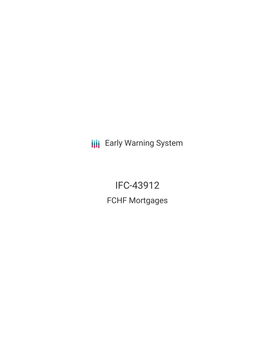**III** Early Warning System

IFC-43912 FCHF Mortgages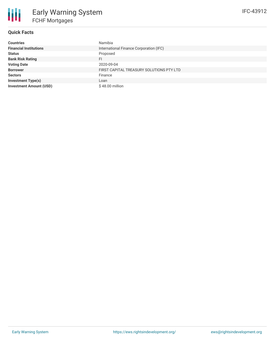

# **Quick Facts**

| <b>Countries</b>               | Namibia                                  |
|--------------------------------|------------------------------------------|
| <b>Financial Institutions</b>  | International Finance Corporation (IFC)  |
| <b>Status</b>                  | Proposed                                 |
| <b>Bank Risk Rating</b>        | FI                                       |
| <b>Voting Date</b>             | 2020-09-04                               |
| <b>Borrower</b>                | FIRST CAPITAL TREASURY SOLUTIONS PTY LTD |
| <b>Sectors</b>                 | Finance                                  |
| <b>Investment Type(s)</b>      | Loan                                     |
| <b>Investment Amount (USD)</b> | \$48.00 million                          |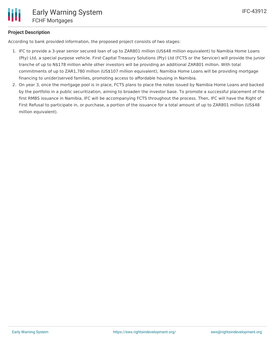# **Project Description**

According to bank provided information, the proposed project consists of two stages:

- 1. IFC to provide a 3-year senior secured loan of up to ZAR801 million (US\$48 million equivalent) to Namibia Home Loans (Pty) Ltd, a special purpose vehicle. First Capital Treasury Solutions (Pty) Ltd (FCTS or the Servicer) will provide the junior tranche of up to N\$178 million while other investors will be providing an additional ZAR801 million. With total commitments of up to ZAR1,780 million (US\$107 million equivalent), Namibia Home Loans will be providing mortgage financing to un(der)served families, promoting access to affordable housing in Namibia.
- 2. On year 3, once the mortgage pool is in place, FCTS plans to place the notes issued by Namibia Home Loans and backed by the portfolio in a public securitization, aiming to broaden the investor base. To promote a successful placement of the first RMBS issuance in Namibia, IFC will be accompanying FCTS throughout the process. Then, IFC will have the Right of First Refusal to participate in, or purchase, a portion of the issuance for a total amount of up to ZAR801 million (US\$48 million equivalent).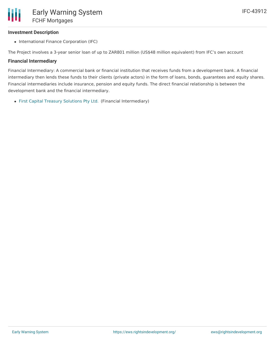## **Investment Description**

• International Finance Corporation (IFC)

The Project involves a 3-year senior loan of up to ZAR801 million (US\$48 million equivalent) from IFC's own account

## **Financial Intermediary**

Financial Intermediary: A commercial bank or financial institution that receives funds from a development bank. A financial intermediary then lends these funds to their clients (private actors) in the form of loans, bonds, guarantees and equity shares. Financial intermediaries include insurance, pension and equity funds. The direct financial relationship is between the development bank and the financial intermediary.

First Capital Treasury [Solutions](file:///actor/3320/) Pty Ltd. (Financial Intermediary)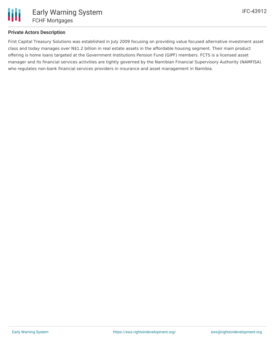

## **Private Actors Description**

First Capital Treasury Solutions was established in July 2009 focusing on providing value focused alternative investment asset class and today manages over N\$1.2 billion in real estate assets in the affordable housing segment. Their main product offering is home loans targeted at the Government Institutions Pension Fund (GIPF) members. FCTS is a licensed asset manager and its financial services activities are tightly governed by the Namibian Financial Supervisory Authority (NAMFISA) who regulates non-bank financial services providers in insurance and asset management in Namibia.